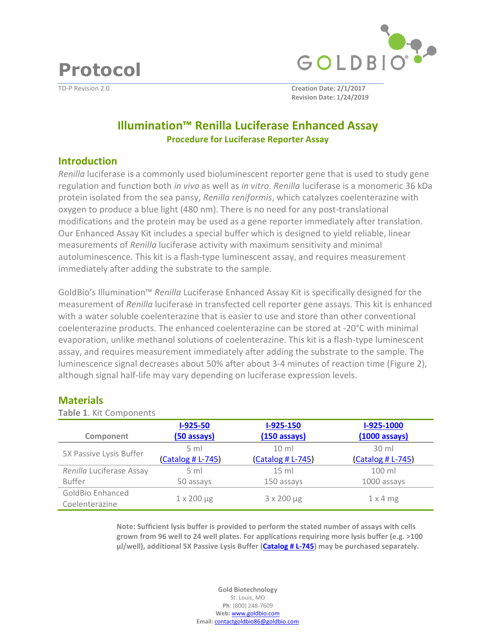**Protocol** 



TD-P Revision 2.0 **Creation Date: 2/1/2017 Revision Date: 1/24/2019**

# **Illumination™ Renilla Luciferase Enhanced Assay Procedure for Luciferase Reporter Assay**

#### **Introduction**

*Renilla* luciferase is a commonly used bioluminescent reporter gene that is used to study gene regulation and function both *in vivo* as well as *in vitro*. *Renilla* luciferase is a monomeric 36 kDa protein isolated from the sea pansy, *Renilla reniformis*, which catalyzes coelenterazine with oxygen to produce a blue light (480 nm). There is no need for any post-translational modifications and the protein may be used as a gene reporter immediately after translation. Our Enhanced Assay Kit includes a special buffer which is designed to yield reliable, linear measurements of *Renilla* luciferase activity with maximum sensitivity and minimal autoluminescence. This kit is a flash-type luminescent assay, and requires measurement immediately after adding the substrate to the sample.

GoldBio's Illumination™ *Renilla* Luciferase Enhanced Assay Kit is specifically designed for the measurement of *Renilla* luciferase in transfected cell reporter gene assays. This kit is enhanced with a water soluble coelenterazine that is easier to use and store than other conventional coelenterazine products. The enhanced coelenterazine can be stored at -20°C with minimal evaporation, unlike methanol solutions of coelenterazine. This kit is a flash-type luminescent assay, and requires measurement immediately after adding the substrate to the sample. The luminescence signal decreases about 50% after about 3-4 minutes of reaction time (Figure 2), although signal half-life may vary depending on luciferase expression levels.

#### **Materials**

| Table 1. Kit Components  |                      |                        |                         |
|--------------------------|----------------------|------------------------|-------------------------|
|                          | $I-925-50$           | $I-925-150$            | I-925-1000              |
| Component                | (50 assays)          | $(150 \text{ assays})$ | $(1000 \text{ assays})$ |
|                          | $5 \text{ ml}$       | $10 \mathrm{m}$        | $30$ ml                 |
| 5X Passive Lysis Buffer  | (Catalog # L-745)    | (Catalog # L-745)      | $(Catalog # L-745)$     |
| Renilla Luciferase Assay | $5 \text{ ml}$       | $15$ ml                | 100 ml                  |
| <b>Buffer</b>            | 50 assays            | 150 assays             | 1000 assays             |
| <b>GoldBio Enhanced</b>  |                      |                        |                         |
| Coelenterazine           | $1 \times 200 \mu g$ | 3 x 200 µg             | $1 \times 4$ mg         |

**Note: Sufficient lysis buffer is provided to perform the stated number of assays with cells grown from 96 well to 24 well plates. For applications requiring more lysis buffer (e.g. >100 µl/well), additional 5X Passive Lysis Buffer [\(Catalog # L-745](https://www.goldbio.com/product/12779/5x-passive-lysis-buffer)) may be purchased separately.**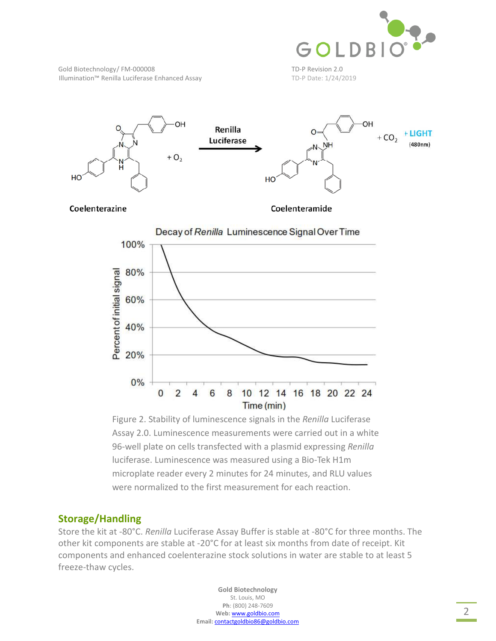

Gold Biotechnology/FM-000008 TD-P Revision 2.0 Illumination™ Renilla Luciferase Enhanced Assay TD-P Date: 1/24/2019



Coelenterazine

Coelenteramide



Figure 2. Stability of luminescence signals in the *Renilla* Luciferase Assay 2.0. Luminescence measurements were carried out in a white 96-well plate on cells transfected with a plasmid expressing *Renilla* luciferase. Luminescence was measured using a Bio-Tek H1m microplate reader every 2 minutes for 24 minutes, and RLU values were normalized to the first measurement for each reaction.

### **Storage/Handling**

Store the kit at -80°C. *Renilla* Luciferase Assay Buffer is stable at -80°C for three months. The other kit components are stable at -20°C for at least six months from date of receipt. Kit components and enhanced coelenterazine stock solutions in water are stable to at least 5 freeze-thaw cycles.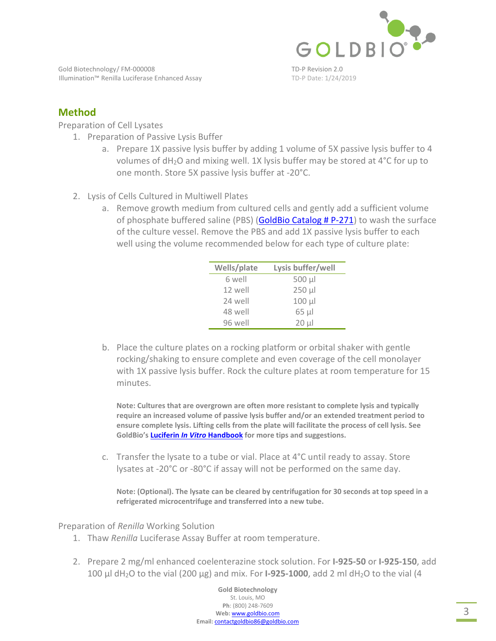

Gold Biotechnology/FM-000008 TD-P Revision 2.0 Illumination™ Renilla Luciferase Enhanced Assay TD-P Date: 1/24/2019

# **Method**

Preparation of Cell Lysates

- 1. Preparation of Passive Lysis Buffer
	- a. Prepare 1X passive lysis buffer by adding 1 volume of 5X passive lysis buffer to 4 volumes of dH2O and mixing well. 1X lysis buffer may be stored at 4°C for up to one month. Store 5X passive lysis buffer at -20°C.
- 2. Lysis of Cells Cultured in Multiwell Plates
	- a. Remove growth medium from cultured cells and gently add a sufficient volume of phosphate buffere[d saline \(PBS\) \(GoldBio Catalog # P-271](https://www.goldbio.com/product/3927/pbs-phosphate-buffered-saline-tablets)) to wash the surface of the culture vessel. Remove the PBS and add 1X passive lysis buffer to each well using the volume recommended below for each type of culture plate:

| Wells/plate | Lysis buffer/well |
|-------------|-------------------|
| 6 well      | 500 µl            |
| 12 well     | $250 \mu$         |
| 24 well     | $100 \mu$         |
| 48 well     | $65 \mu$          |
| 96 well     | $20 \mu$          |

b. Place the culture plates on a rocking platform or orbital shaker with gentle rocking/shaking to ensure complete and even coverage of the cell monolayer with 1X passive lysis buffer. Rock the culture plates at room temperature for 15 minutes.

**Note: Cultures that are overgrown are often more resistant to complete lysis and typically require an increased volume of passive lysis buffer and/or an extended treatment period to ensure complete lysis. Lifting cells from the plate will facilitate the process of cell lysis. See [GoldBio's Luciferin](https://www.goldbio.com/documents/1067/Luciferin In Vitro Book v1_160422.pdf)** *In Vitro* **Handbook for more tips and suggestions.** 

c. Transfer the lysate to a tube or vial. Place at 4°C until ready to assay. Store lysates at -20°C or -80°C if assay will not be performed on the same day.

**Note: (Optional). The lysate can be cleared by centrifugation for 30 seconds at top speed in a refrigerated microcentrifuge and transferred into a new tube.** 

Preparation of *Renilla* Working Solution

- 1. Thaw *Renilla* Luciferase Assay Buffer at room temperature.
- 2. Prepare 2 mg/ml enhanced coelenterazine stock solution. For **I-925-50** or **I-925-150**, add 100  $\mu$ l dH<sub>2</sub>O to the vial (200  $\mu$ g) and mix. For **I-925-1000**, add 2 ml dH<sub>2</sub>O to the vial (4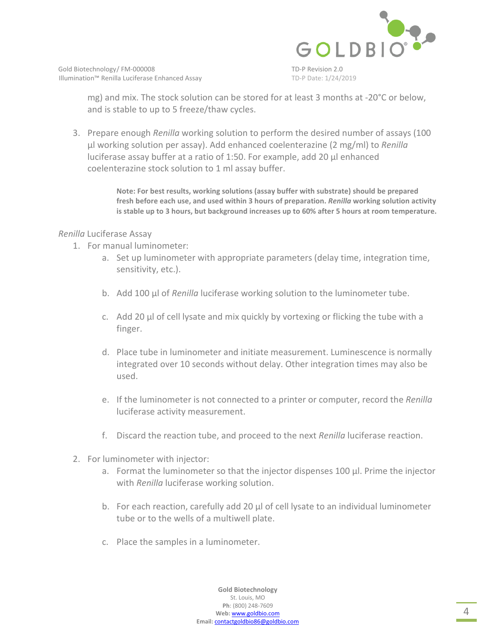

mg) and mix. The stock solution can be stored for at least 3 months at -20°C or below, and is stable to up to 5 freeze/thaw cycles.

3. Prepare enough *Renilla* working solution to perform the desired number of assays (100 µl working solution per assay). Add enhanced coelenterazine (2 mg/ml) to *Renilla* luciferase assay buffer at a ratio of 1:50. For example, add 20 µl enhanced coelenterazine stock solution to 1 ml assay buffer.

> **Note: For best results, working solutions (assay buffer with substrate) should be prepared fresh before each use, and used within 3 hours of preparation.** *Renilla* **working solution activity is stable up to 3 hours, but background increases up to 60% after 5 hours at room temperature.**

#### *Renilla* Luciferase Assay

- 1. For manual luminometer:
	- a. Set up luminometer with appropriate parameters (delay time, integration time, sensitivity, etc.).
	- b. Add 100 µl of *Renilla* luciferase working solution to the luminometer tube.
	- c. Add 20 µl of cell lysate and mix quickly by vortexing or flicking the tube with a finger.
	- d. Place tube in luminometer and initiate measurement. Luminescence is normally integrated over 10 seconds without delay. Other integration times may also be used.
	- e. If the luminometer is not connected to a printer or computer, record the *Renilla* luciferase activity measurement.
	- f. Discard the reaction tube, and proceed to the next *Renilla* luciferase reaction.
- 2. For luminometer with injector:
	- a. Format the luminometer so that the injector dispenses 100 µl. Prime the injector with *Renilla* luciferase working solution.
	- b. For each reaction, carefully add 20 µl of cell lysate to an individual luminometer tube or to the wells of a multiwell plate.
	- c. Place the samples in a luminometer.